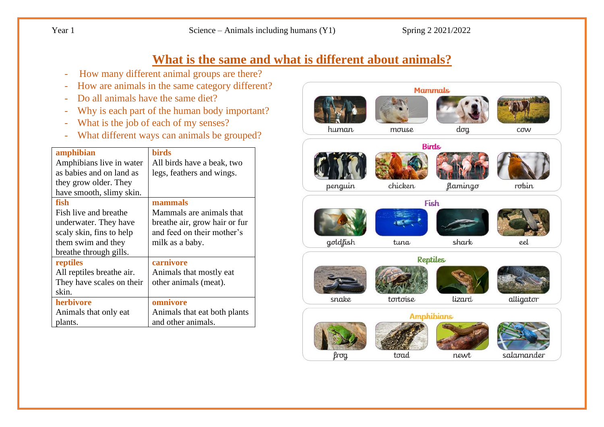Year 1 Science – Animals including humans (Y1) Spring 2 2021/2022

# **What is the same and what is different about animals?**

- How many different animal groups are there?
- How are animals in the same category different?
- Do all animals have the same diet?
- Why is each part of the human body important?
- What is the job of each of my senses?
- What different ways can animals be grouped?

| amphibian                 | <b>birds</b>                  |
|---------------------------|-------------------------------|
|                           |                               |
| Amphibians live in water  | All birds have a beak, two    |
| as babies and on land as  | legs, feathers and wings.     |
| they grow older. They     |                               |
| have smooth, slimy skin.  |                               |
| fish                      | mammals                       |
| Fish live and breathe     | Mammals are animals that      |
| underwater. They have     | breathe air, grow hair or fur |
| scaly skin, fins to help  | and feed on their mother's    |
| them swim and they        | milk as a baby.               |
| breathe through gills.    |                               |
| reptiles                  | carnivore                     |
| All reptiles breathe air. | Animals that mostly eat       |
| They have scales on their | other animals (meat).         |
| skin.                     |                               |
| herbivore                 | omnivore                      |
| Animals that only eat     | Animals that eat both plants  |
| plants.                   | and other animals.            |